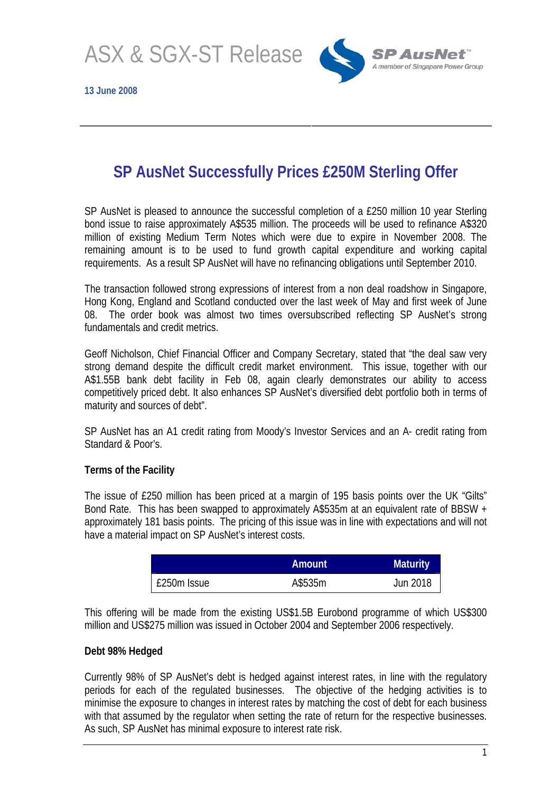ASX & SGX-ST Release

**13 June 2008** 



# **SP AusNet Successfully Prices £250M Sterling Offer**

SP AusNet is pleased to announce the successful completion of a £250 million 10 year Sterling bond issue to raise approximately A\$535 million. The proceeds will be used to refinance A\$320 million of existing Medium Term Notes which were due to expire in November 2008. The remaining amount is to be used to fund growth capital expenditure and working capital requirements. As a result SP AusNet will have no refinancing obligations until September 2010.

The transaction followed strong expressions of interest from a non deal roadshow in Singapore, Hong Kong, England and Scotland conducted over the last week of May and first week of June 08. The order book was almost two times oversubscribed reflecting SP AusNet's strong fundamentals and credit metrics.

Geoff Nicholson, Chief Financial Officer and Company Secretary, stated that "the deal saw very strong demand despite the difficult credit market environment. This issue, together with our A\$1.55B bank debt facility in Feb 08, again clearly demonstrates our ability to access competitively priced debt. It also enhances SP AusNet's diversified debt portfolio both in terms of maturity and sources of debt".

SP AusNet has an A1 credit rating from Moody's Investor Services and an A- credit rating from Standard & Poor's.

## **Terms of the Facility**

The issue of £250 million has been priced at a margin of 195 basis points over the UK "Gilts" Bond Rate. This has been swapped to approximately A\$535m at an equivalent rate of BBSW + approximately 181 basis points. The pricing of this issue was in line with expectations and will not have a material impact on SP AusNet's interest costs.

|             | Amount  | <b>Maturity</b> |
|-------------|---------|-----------------|
| £250m Issue | A\$535m | Jun 2018        |

This offering will be made from the existing US\$1.5B Eurobond programme of which US\$300 million and US\$275 million was issued in October 2004 and September 2006 respectively.

#### **Debt 98% Hedged**

Currently 98% of SP AusNet's debt is hedged against interest rates, in line with the regulatory periods for each of the regulated businesses. The objective of the hedging activities is to minimise the exposure to changes in interest rates by matching the cost of debt for each business with that assumed by the regulator when setting the rate of return for the respective businesses. As such, SP AusNet has minimal exposure to interest rate risk.